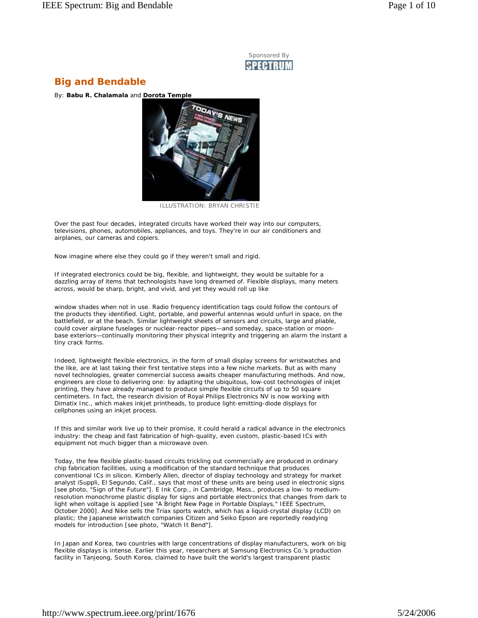Sponsored By **SPECTRUM** 

### **Big and Bendable**

By: **Babu R. Chalamala** and **Dorota Temple**



ILLUSTRATION: BRYAN CHRISTIE

Over the past four decades, integrated circuits have worked their way into our computers, televisions, phones, automobiles, appliances, and toys. They're in our air conditioners and airplanes, our cameras and copiers.

Now imagine where else they could go if they weren't small and rigid.

If integrated electronics could be big, flexible, and lightweight, they would be suitable for a dazzling array of items that technologists have long dreamed of. Flexible displays, many meters across, would be sharp, bright, and vivid, and yet they would roll up like

window shades when not in use. Radio frequency identification tags could follow the contours of the products they identified. Light, portable, and powerful antennas would unfurl in space, on the battlefield, or at the beach. Similar lightweight sheets of sensors and circuits, large and pliable, could cover airplane fuselages or nuclear-reactor pipes—and someday, space-station or moonbase exteriors—continually monitoring their physical integrity and triggering an alarm the instant a tiny crack forms.

Indeed, lightweight flexible electronics, in the form of small display screens for wristwatches and the like, are at last taking their first tentative steps into a few niche markets. But as with many novel technologies, greater commercial success awaits cheaper manufacturing methods. And now, engineers are close to delivering one: by adapting the ubiquitous, low-cost technologies of inkjet printing, they have already managed to produce simple flexible circuits of up to 50 square centimeters. In fact, the research division of Royal Philips Electronics NV is now working with Dimatix Inc., which makes inkjet printheads, to produce light-emitting-diode displays for cellphones using an inkjet process.

If this and similar work live up to their promise, it could herald a radical advance in the electronics industry: the cheap and fast fabrication of high-quality, even custom, plastic-based ICs with equipment not much bigger than a microwave oven.

Today, the few flexible plastic-based circuits trickling out commercially are produced in ordinary chip fabrication facilities, using a modification of the standard technique that produces conventional ICs in silicon. Kimberly Allen, director of display technology and strategy for market analyst iSuppli, El Segundo, Calif., says that most of these units are being used in electronic signs [see photo, "Sign of the Future"]. E Ink Corp., in Cambridge, Mass., produces a low- to mediumresolution monochrome plastic display for signs and portable electronics that changes from dark to light when voltage is applied [see "A Bright New Page in Portable Displays," *IEEE Spectrum*, October 2000]. And Nike sells the Triax sports watch, which has a liquid-crystal display (LCD) on plastic; the Japanese wristwatch companies Citizen and Seiko Epson are reportedly readying models for introduction [see photo, "Watch It Bend"].

In Japan and Korea, two countries with large concentrations of display manufacturers, work on big flexible displays is intense. Earlier this year, researchers at Samsung Electronics Co.'s production facility in Tanjeong, South Korea, claimed to have built the world's largest transparent plastic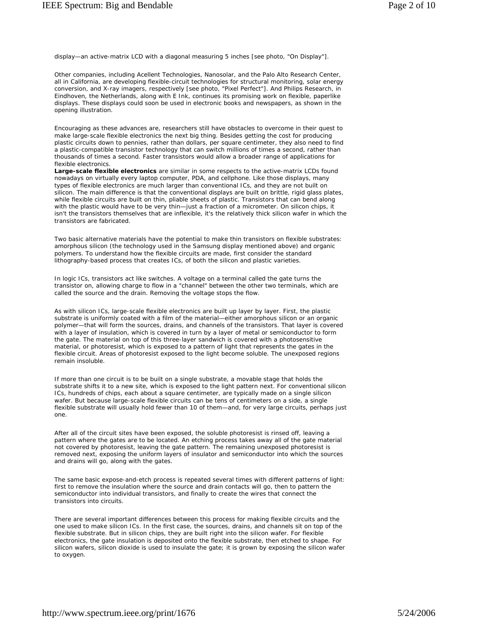display—an active-matrix LCD with a diagonal measuring 5 inches [see photo, "On Display"].

Other companies, including Acellent Technologies, Nanosolar, and the Palo Alto Research Center, all in California, are developing flexible-circuit technologies for structural monitoring, solar energy conversion, and X-ray imagers, respectively [see photo, "Pixel Perfect"]. And Philips Research, in Eindhoven, the Netherlands, along with E Ink, continues its promising work on flexible, paperlike displays. These displays could soon be used in electronic books and newspapers, as shown in the opening illustration.

Encouraging as these advances are, researchers still have obstacles to overcome in their quest to make large-scale flexible electronics the next big thing. Besides getting the cost for producing plastic circuits down to pennies, rather than dollars, per square centimeter, they also need to find a plastic-compatible transistor technology that can switch millions of times a second, rather than thousands of times a second. Faster transistors would allow a broader range of applications for flexible electronics.

**Large-scale flexible electronics** are similar in some respects to the active-matrix LCDs found nowadays on virtually every laptop computer, PDA, and cellphone. Like those displays, many types of flexible electronics are much larger than conventional ICs, and they are not built on silicon. The main difference is that the conventional displays are built on brittle, rigid glass plates, while flexible circuits are built on thin, pliable sheets of plastic. Transistors that can bend along with the plastic would have to be very thin—just a fraction of a micrometer. On silicon chips, it isn't the transistors themselves that are inflexible, it's the relatively thick silicon wafer in which the transistors are fabricated.

Two basic alternative materials have the potential to make thin transistors on flexible substrates: amorphous silicon (the technology used in the Samsung display mentioned above) and organic polymers. To understand how the flexible circuits are made, first consider the standard lithography-based process that creates ICs, of both the silicon and plastic varieties.

In logic ICs, transistors act like switches. A voltage on a terminal called the gate turns the transistor on, allowing charge to flow in a "channel" between the other two terminals, which are called the source and the drain. Removing the voltage stops the flow.

As with silicon ICs, large-scale flexible electronics are built up layer by layer. First, the plastic substrate is uniformly coated with a film of the material—either amorphous silicon or an organic polymer—that will form the sources, drains, and channels of the transistors. That layer is covered with a layer of insulation, which is covered in turn by a layer of metal or semiconductor to form the gate. The material on top of this three-layer sandwich is covered with a photosensitive material, or photoresist, which is exposed to a pattern of light that represents the gates in the flexible circuit. Areas of photoresist exposed to the light become soluble. The unexposed regions remain insoluble.

If more than one circuit is to be built on a single substrate, a movable stage that holds the substrate shifts it to a new site, which is exposed to the light pattern next. For conventional silicon ICs, hundreds of chips, each about a square centimeter, are typically made on a single silicon wafer. But because large-scale flexible circuits can be tens of centimeters on a side, a single flexible substrate will usually hold fewer than 10 of them—and, for very large circuits, perhaps just one.

After all of the circuit sites have been exposed, the soluble photoresist is rinsed off, leaving a pattern where the gates are to be located. An etching process takes away all of the gate material not covered by photoresist, leaving the gate pattern. The remaining unexposed photoresist is removed next, exposing the uniform layers of insulator and semiconductor into which the sources and drains will go, along with the gates.

The same basic expose-and-etch process is repeated several times with different patterns of light: first to remove the insulation where the source and drain contacts will go, then to pattern the semiconductor into individual transistors, and finally to create the wires that connect the transistors into circuits.

There are several important differences between this process for making flexible circuits and the one used to make silicon ICs. In the first case, the sources, drains, and channels sit on top of the flexible substrate. But in silicon chips, they are built right into the silicon wafer. For flexible electronics, the gate insulation is deposited onto the flexible substrate, then etched to shape. For silicon wafers, silicon dioxide is used to insulate the gate; it is grown by exposing the silicon wafer to oxygen.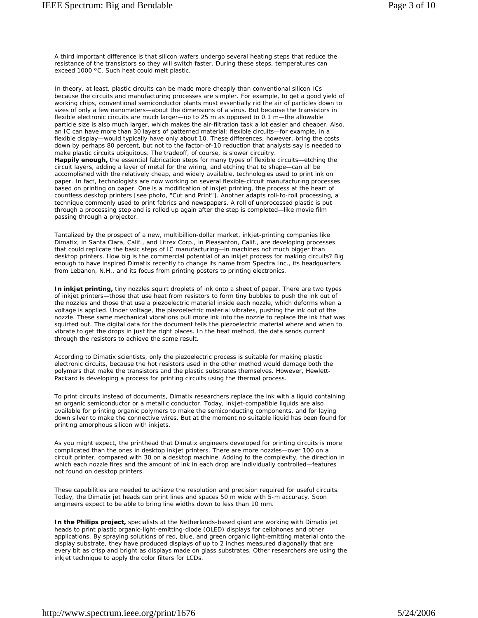A third important difference is that silicon wafers undergo several heating steps that reduce the resistance of the transistors so they will switch faster. During these steps, temperatures can exceed 1000 ºC. Such heat could melt plastic.

In theory, at least, plastic circuits can be made more cheaply than conventional silicon ICs because the circuits and manufacturing processes are simpler. For example, to get a good yield of working chips, conventional semiconductor plants must essentially rid the air of particles down to sizes of only a few nanometers—about the dimensions of a virus. But because the transistors in flexible electronic circuits are much larger—up to 25 m as opposed to 0.1 m—the allowable particle size is also much larger, which makes the air-filtration task a lot easier and cheaper. Also, an IC can have more than 30 layers of patterned material; flexible circuits—for example, in a flexible display—would typically have only about 10. These differences, however, bring the costs down by perhaps 80 percent, but not to the factor-of-10 reduction that analysts say is needed to make plastic circuits ubiquitous. The tradeoff, of course, is slower circuitry. **Happily enough,** the essential fabrication steps for many types of flexible circuits—etching the circuit layers, adding a layer of metal for the wiring, and etching that to shape—can all be accomplished with the relatively cheap, and widely available, technologies used to print ink on paper. In fact, technologists are now working on several flexible-circuit manufacturing processes based on printing on paper. One is a modification of inkjet printing, the process at the heart of countless desktop printers [see photo, "Cut and Print"]. Another adapts roll-to-roll processing, a technique commonly used to print fabrics and newspapers. A roll of unprocessed plastic is put through a processing step and is rolled up again after the step is completed—like movie film passing through a projector.

Tantalized by the prospect of a new, multibillion-dollar market, inkjet-printing companies like Dimatix, in Santa Clara, Calif., and Litrex Corp., in Pleasanton, Calif., are developing processes that could replicate the basic steps of IC manufacturing—in machines not much bigger than desktop printers. How big is the commercial potential of an inkjet process for making circuits? Big enough to have inspired Dimatix recently to change its name from Spectra Inc., its headquarters from Lebanon, N.H., and its focus from printing posters to printing electronics.

**In inkjet printing,** tiny nozzles squirt droplets of ink onto a sheet of paper. There are two types of inkjet printers—those that use heat from resistors to form tiny bubbles to push the ink out of the nozzles and those that use a piezoelectric material inside each nozzle, which deforms when a voltage is applied. Under voltage, the piezoelectric material vibrates, pushing the ink out of the nozzle. These same mechanical vibrations pull more ink into the nozzle to replace the ink that was squirted out. The digital data for the document tells the piezoelectric material where and when to vibrate to get the drops in just the right places. In the heat method, the data sends current through the resistors to achieve the same result.

According to Dimatix scientists, only the piezoelectric process is suitable for making plastic electronic circuits, because the hot resistors used in the other method would damage both the polymers that make the transistors and the plastic substrates themselves. However, Hewlett-Packard is developing a process for printing circuits using the thermal process.

To print circuits instead of documents, Dimatix researchers replace the ink with a liquid containing an organic semiconductor or a metallic conductor. Today, inkjet-compatible liquids are also available for printing organic polymers to make the semiconducting components, and for laying down silver to make the connective wires. But at the moment no suitable liquid has been found for printing amorphous silicon with inkjets.

As you might expect, the printhead that Dimatix engineers developed for printing circuits is more complicated than the ones in desktop inkjet printers. There are more nozzles—over 100 on a circuit printer, compared with 30 on a desktop machine. Adding to the complexity, the direction in which each nozzle fires and the amount of ink in each drop are individually controlled—features not found on desktop printers.

These capabilities are needed to achieve the resolution and precision required for useful circuits. Today, the Dimatix jet heads can print lines and spaces 50 m wide with 5-m accuracy. Soon engineers expect to be able to bring line widths down to less than 10 mm.

**In the Philips project,** specialists at the Netherlands-based giant are working with Dimatix jet heads to print plastic organic-light-emitting-diode (OLED) displays for cellphones and other applications. By spraying solutions of red, blue, and green organic light-emitting material onto the display substrate, they have produced displays of up to 2 inches measured diagonally that are every bit as crisp and bright as displays made on glass substrates. Other researchers are using the inkjet technique to apply the color filters for LCDs.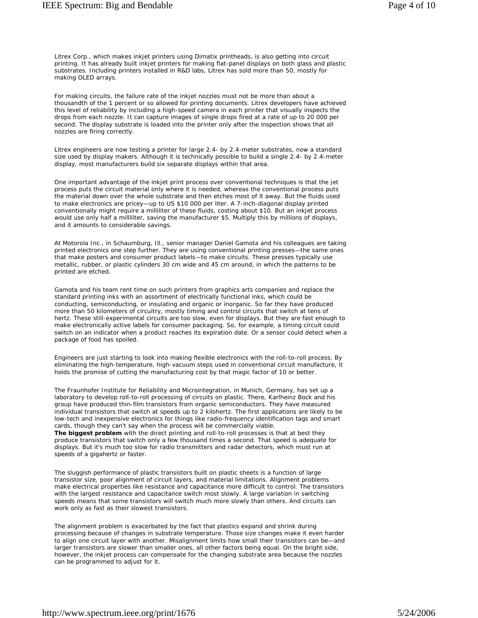Litrex Corp., which makes inkjet printers using Dimatix printheads, is also getting into circuit printing. It has already built inkjet printers for making flat-panel displays on both glass and plastic substrates. Including printers installed in R&D labs, Litrex has sold more than 50, mostly for making OLED arrays.

For making circuits, the failure rate of the inkjet nozzles must not be more than about a thousandth of the 1 percent or so allowed for printing documents. Litrex developers have achieved this level of reliability by including a high-speed camera in each printer that visually inspects the drops from each nozzle. It can capture images of single drops fired at a rate of up to 20 000 per second. The display substrate is loaded into the printer only after the inspection shows that all nozzles are firing correctly.

Litrex engineers are now testing a printer for large 2.4- by 2.4-meter substrates, now a standard size used by display makers. Although it is technically possible to build a single 2.4- by 2.4-meter display, most manufacturers build six separate displays within that area.

One important advantage of the inkjet print process over conventional techniques is that the jet process puts the circuit material only where it is needed, whereas the conventional process puts the material down over the whole substrate and then etches most of it away. But the fluids used to make electronics are pricey—up to US \$10 000 per liter. A 7-inch-diagonal display printed conventionally might require a milliliter of these fluids, costing about \$10. But an inkjet process would use only half a milliliter, saving the manufacturer \$5. Multiply this by millions of displays, and it amounts to considerable savings.

At Motorola Inc., in Schaumburg, Ill., senior manager Daniel Gamota and his colleagues are taking printed electronics one step further. They are using conventional printing presses—the same ones that make posters and consumer product labels—to make circuits. These presses typically use metallic, rubber, or plastic cylinders 30 cm wide and 45 cm around, in which the patterns to be printed are etched.

Gamota and his team rent time on such printers from graphics arts companies and replace the standard printing inks with an assortment of electrically functional inks, which could be conducting, semiconducting, or insulating and organic or inorganic. So far they have produced more than 50 kilometers of circuitry, mostly timing and control circuits that switch at tens of hertz. These still-experimental circuits are too slow, even for displays. But they are fast enough to make electronically active labels for consumer packaging. So, for example, a timing circuit could switch on an indicator when a product reaches its expiration date. Or a sensor could detect when a package of food has spoiled.

Engineers are just starting to look into making flexible electronics with the roll-to-roll process. By eliminating the high-temperature, high-vacuum steps used in conventional circuit manufacture, it holds the promise of cutting the manufacturing cost by that magic factor of 10 or better.

The Fraunhofer Institute for Reliability and Microintegration, in Munich, Germany, has set up a laboratory to develop roll-to-roll processing of circuits on plastic. There, Karlheinz Bock and his group have produced thin-film transistors from organic semiconductors. They have measured individual transistors that switch at speeds up to 2 kilohertz. The first applications are likely to be low-tech and inexpensive electronics for things like radio-frequency identification tags and smart cards, though they can't say when the process will be commercially viable. **The biggest problem** with the direct printing and roll-to-roll processes is that at best they produce transistors that switch only a few thousand times a second. That speed is adequate for displays. But it's much too slow for radio transmitters and radar detectors, which must run at speeds of a gigahertz or faster.

The sluggish performance of plastic transistors built on plastic sheets is a function of large transistor size, poor alignment of circuit layers, and material limitations. Alignment problems make electrical properties like resistance and capacitance more difficult to control. The transistors with the largest resistance and capacitance switch most slowly. A large variation in switching speeds means that some transistors will switch much more slowly than others. And circuits can work only as fast as their slowest transistors.

The alignment problem is exacerbated by the fact that plastics expand and shrink during processing because of changes in substrate temperature. Those size changes make it even harder to align one circuit layer with another. Misalignment limits how small their transistors can be—and larger transistors are slower than smaller ones, all other factors being equal. On the bright side, however, the inkjet process can compensate for the changing substrate area because the nozzles can be programmed to adjust for it.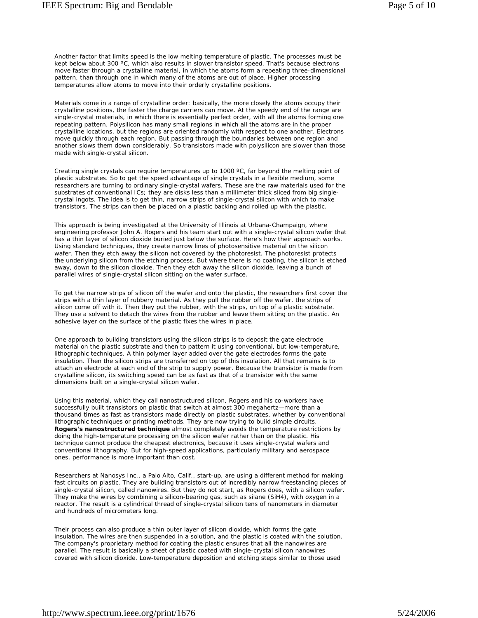Another factor that limits speed is the low melting temperature of plastic. The processes must be kept below about 300 °C, which also results in slower transistor speed. That's because electrons move faster through a crystalline material, in which the atoms form a repeating three-dimensional pattern, than through one in which many of the atoms are out of place. Higher processing temperatures allow atoms to move into their orderly crystalline positions.

Materials come in a range of crystalline order: basically, the more closely the atoms occupy their crystalline positions, the faster the charge carriers can move. At the speedy end of the range are single-crystal materials, in which there is essentially perfect order, with all the atoms forming one repeating pattern. Polysilicon has many small regions in which all the atoms are in the proper crystalline locations, but the regions are oriented randomly with respect to one another. Electrons move quickly through each region. But passing through the boundaries between one region and another slows them down considerably. So transistors made with polysilicon are slower than those made with single-crystal silicon.

Creating single crystals can require temperatures up to 1000 ºC, far beyond the melting point of plastic substrates. So to get the speed advantage of single crystals in a flexible medium, some researchers are turning to ordinary single-crystal wafers. These are the raw materials used for the substrates of conventional ICs; they are disks less than a millimeter thick sliced from big singlecrystal ingots. The idea is to get thin, narrow strips of single-crystal silicon with which to make transistors. The strips can then be placed on a plastic backing and rolled up with the plastic.

This approach is being investigated at the University of Illinois at Urbana-Champaign, where engineering professor John A. Rogers and his team start out with a single-crystal silicon wafer that has a thin layer of silicon dioxide buried just below the surface. Here's how their approach works. Using standard techniques, they create narrow lines of photosensitive material on the silicon wafer. Then they etch away the silicon not covered by the photoresist. The photoresist protects the underlying silicon from the etching process. But where there is no coating, the silicon is etched away, down to the silicon dioxide. Then they etch away the silicon dioxide, leaving a bunch of parallel wires of single-crystal silicon sitting on the wafer surface.

To get the narrow strips of silicon off the wafer and onto the plastic, the researchers first cover the strips with a thin layer of rubbery material. As they pull the rubber off the wafer, the strips of silicon come off with it. Then they put the rubber, with the strips, on top of a plastic substrate. They use a solvent to detach the wires from the rubber and leave them sitting on the plastic. An adhesive layer on the surface of the plastic fixes the wires in place.

One approach to building transistors using the silicon strips is to deposit the gate electrode material on the plastic substrate and then to pattern it using conventional, but low-temperature, lithographic techniques. A thin polymer layer added over the gate electrodes forms the gate insulation. Then the silicon strips are transferred on top of this insulation. All that remains is to attach an electrode at each end of the strip to supply power. Because the transistor is made from crystalline silicon, its switching speed can be as fast as that of a transistor with the same dimensions built on a single-crystal silicon wafer.

Using this material, which they call nanostructured silicon, Rogers and his co-workers have successfully built transistors on plastic that switch at almost 300 megahertz—more than a thousand times as fast as transistors made directly on plastic substrates, whether by conventional lithographic techniques or printing methods. They are now trying to build simple circuits. **Rogers's nanostructured technique** almost completely avoids the temperature restrictions by doing the high-temperature processing on the silicon wafer rather than on the plastic. His technique cannot produce the cheapest electronics, because it uses single-crystal wafers and conventional lithography. But for high-speed applications, particularly military and aerospace ones, performance is more important than cost.

Researchers at Nanosys Inc., a Palo Alto, Calif., start-up, are using a different method for making fast circuits on plastic. They are building transistors out of incredibly narrow freestanding pieces of single-crystal silicon, called nanowires. But they do not start, as Rogers does, with a silicon wafer. They make the wires by combining a silicon-bearing gas, such as silane (SiH4), with oxygen in a reactor. The result is a cylindrical thread of single-crystal silicon tens of nanometers in diameter and hundreds of micrometers long.

Their process can also produce a thin outer layer of silicon dioxide, which forms the gate insulation. The wires are then suspended in a solution, and the plastic is coated with the solution. The company's proprietary method for coating the plastic ensures that all the nanowires are parallel. The result is basically a sheet of plastic coated with single-crystal silicon nanowires covered with silicon dioxide. Low-temperature deposition and etching steps similar to those used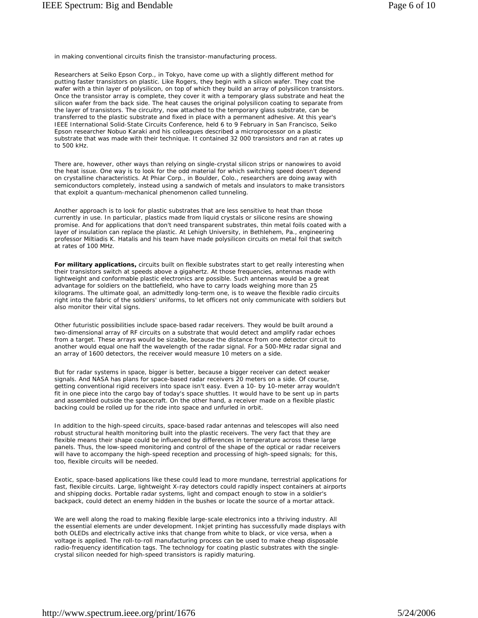in making conventional circuits finish the transistor-manufacturing process.

Researchers at Seiko Epson Corp., in Tokyo, have come up with a slightly different method for putting faster transistors on plastic. Like Rogers, they begin with a silicon wafer. They coat the wafer with a thin layer of polysilicon, on top of which they build an array of polysilicon transistors. Once the transistor array is complete, they cover it with a temporary glass substrate and heat the silicon wafer from the back side. The heat causes the original polysilicon coating to separate from the layer of transistors. The circuitry, now attached to the temporary glass substrate, can be transferred to the plastic substrate and fixed in place with a permanent adhesive. At this year's IEEE International Solid-State Circuits Conference, held 6 to 9 February in San Francisco, Seiko Epson researcher Nobuo Karaki and his colleagues described a microprocessor on a plastic substrate that was made with their technique. It contained 32 000 transistors and ran at rates up to 500 kHz.

There are, however, other ways than relying on single-crystal silicon strips or nanowires to avoid the heat issue. One way is to look for the odd material for which switching speed doesn't depend on crystalline characteristics. At Phiar Corp., in Boulder, Colo., researchers are doing away with semiconductors completely, instead using a sandwich of metals and insulators to make transistors that exploit a quantum-mechanical phenomenon called tunneling.

Another approach is to look for plastic substrates that are less sensitive to heat than those currently in use. In particular, plastics made from liquid crystals or silicone resins are showing promise. And for applications that don't need transparent substrates, thin metal foils coated with a layer of insulation can replace the plastic. At Lehigh University, in Bethlehem, Pa., engineering professor Miltiadis K. Hatalis and his team have made polysilicon circuits on metal foil that switch at rates of 100 MHz.

**For military applications,** circuits built on flexible substrates start to get really interesting when their transistors switch at speeds above a gigahertz. At those frequencies, antennas made with lightweight and conformable plastic electronics are possible. Such antennas would be a great advantage for soldiers on the battlefield, who have to carry loads weighing more than 25 kilograms. The ultimate goal, an admittedly long-term one, is to weave the flexible radio circuits right into the fabric of the soldiers' uniforms, to let officers not only communicate with soldiers but also monitor their vital signs.

Other futuristic possibilities include space-based radar receivers. They would be built around a two-dimensional array of RF circuits on a substrate that would detect and amplify radar echoes from a target. These arrays would be sizable, because the distance from one detector circuit to another would equal one half the wavelength of the radar signal. For a 500-MHz radar signal and an array of 1600 detectors, the receiver would measure 10 meters on a side.

But for radar systems in space, bigger is better, because a bigger receiver can detect weaker signals. And NASA has plans for space-based radar receivers 20 meters on a side. Of course, getting conventional rigid receivers into space isn't easy. Even a 10- by 10-meter array wouldn't fit in one piece into the cargo bay of today's space shuttles. It would have to be sent up in parts and assembled outside the spacecraft. On the other hand, a receiver made on a flexible plastic backing could be rolled up for the ride into space and unfurled in orbit.

In addition to the high-speed circuits, space-based radar antennas and telescopes will also need robust structural health monitoring built into the plastic receivers. The very fact that they are flexible means their shape could be influenced by differences in temperature across these large panels. Thus, the low-speed monitoring and control of the shape of the optical or radar receivers will have to accompany the high-speed reception and processing of high-speed signals; for this, too, flexible circuits will be needed.

Exotic, space-based applications like these could lead to more mundane, terrestrial applications for fast, flexible circuits. Large, lightweight X-ray detectors could rapidly inspect containers at airports and shipping docks. Portable radar systems, light and compact enough to stow in a soldier's backpack, could detect an enemy hidden in the bushes or locate the source of a mortar attack.

We are well along the road to making flexible large-scale electronics into a thriving industry. All the essential elements are under development. Inkjet printing has successfully made displays with both OLEDs and electrically active inks that change from white to black, or vice versa, when a voltage is applied. The roll-to-roll manufacturing process can be used to make cheap disposable radio-frequency identification tags. The technology for coating plastic substrates with the singlecrystal silicon needed for high-speed transistors is rapidly maturing.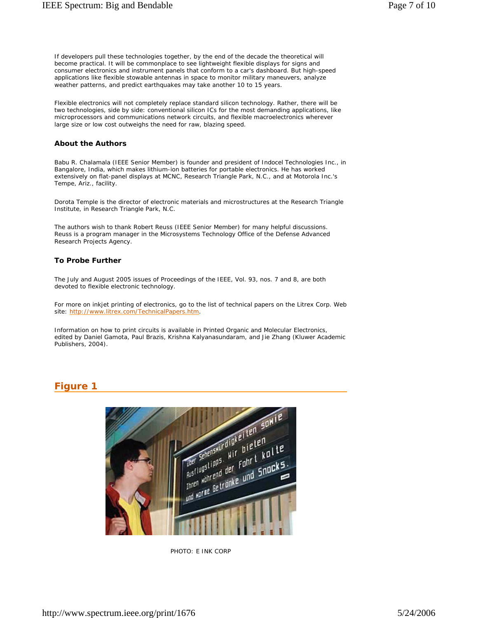If developers pull these technologies together, by the end of the decade the theoretical will become practical. It will be commonplace to see lightweight flexible displays for signs and consumer electronics and instrument panels that conform to a car's dashboard. But high-speed applications like flexible stowable antennas in space to monitor military maneuvers, analyze weather patterns, and predict earthquakes may take another 10 to 15 years.

Flexible electronics will not completely replace standard silicon technology. Rather, there will be two technologies, side by side: conventional silicon ICs for the most demanding applications, like microprocessors and communications network circuits, and flexible macroelectronics wherever large size or low cost outweighs the need for raw, blazing speed.

#### **About the Authors**

Babu R. Chalamala (IEEE Senior Member) is founder and president of Indocel Technologies Inc., in Bangalore, India, which makes lithium-ion batteries for portable electronics. He has worked extensively on flat-panel displays at MCNC, Research Triangle Park, N.C., and at Motorola Inc.'s Tempe, Ariz., facility.

Dorota Temple is the director of electronic materials and microstructures at the Research Triangle Institute, in Research Triangle Park, N.C.

The authors wish to thank Robert Reuss (IEEE Senior Member) for many helpful discussions. Reuss is a program manager in the Microsystems Technology Office of the Defense Advanced Research Projects Agency.

### **To Probe Further**

The July and August 2005 issues of Proceedings of the IEEE, Vol. 93, nos. 7 and 8, are both devoted to flexible electronic technology.

For more on inkjet printing of electronics, go to the list of technical papers on the Litrex Corp. Web site: http://www.litrex.com/TechnicalPapers.htm.

Information on how to print circuits is available in *Printed Organic and Molecular Electronics*, edited by Daniel Gamota, Paul Brazis, Krishna Kalyanasundaram, and Jie Zhang (Kluwer Academic Publishers, 2004).

### **Figure 1**



PHOTO: E INK CORP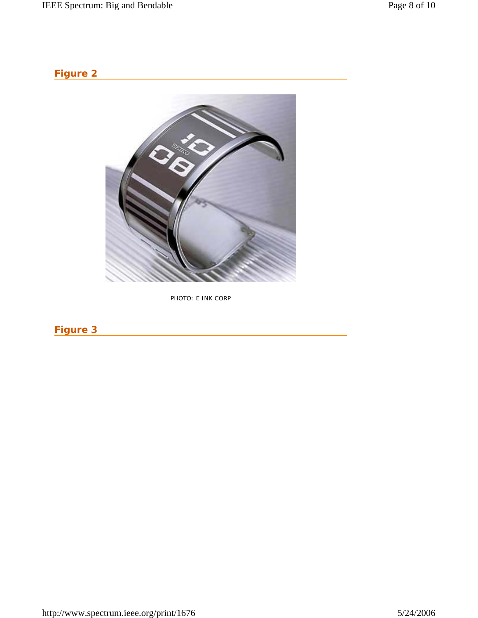## **Figure 2**



PHOTO: E INK CORP

**Figure 3**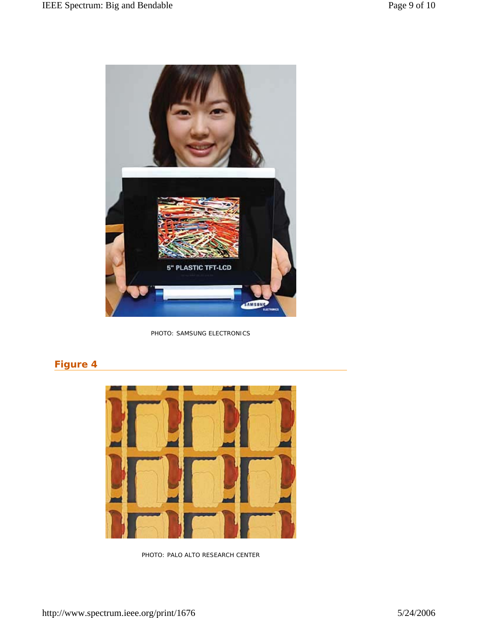

PHOTO: SAMSUNG ELECTRONICS

# **Figure 4**



PHOTO: PALO ALTO RESEARCH CENTER